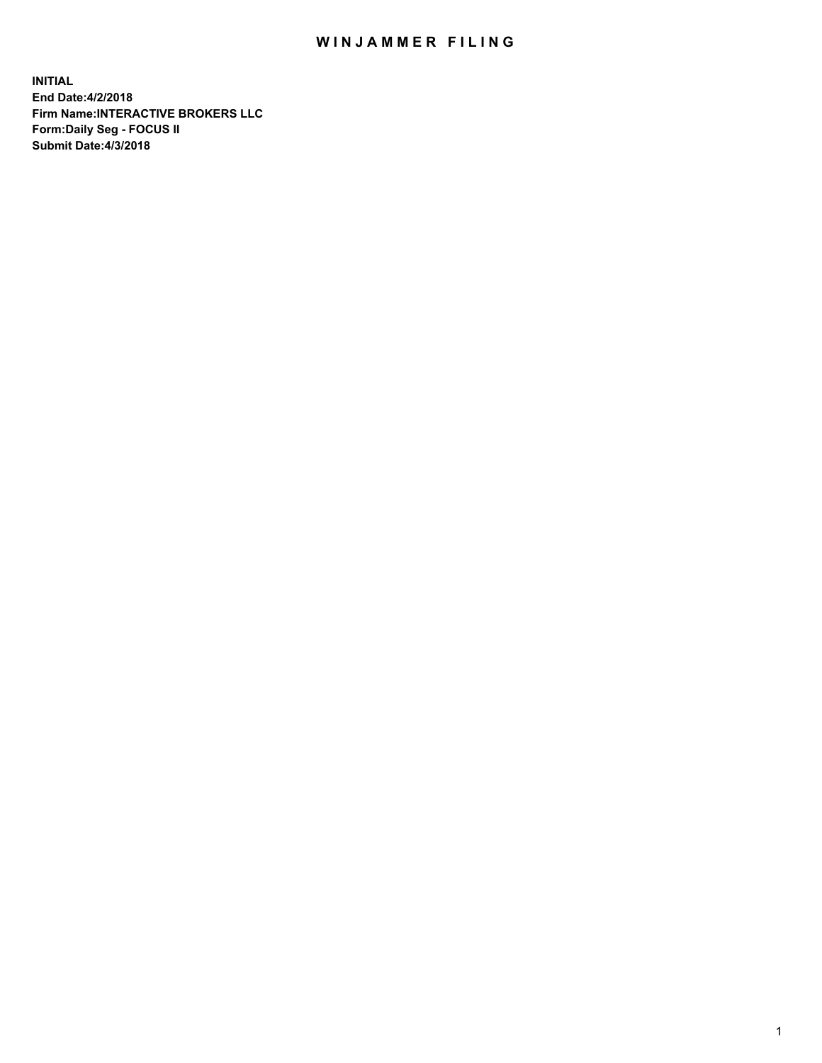## WIN JAMMER FILING

**INITIAL End Date:4/2/2018 Firm Name:INTERACTIVE BROKERS LLC Form:Daily Seg - FOCUS II Submit Date:4/3/2018**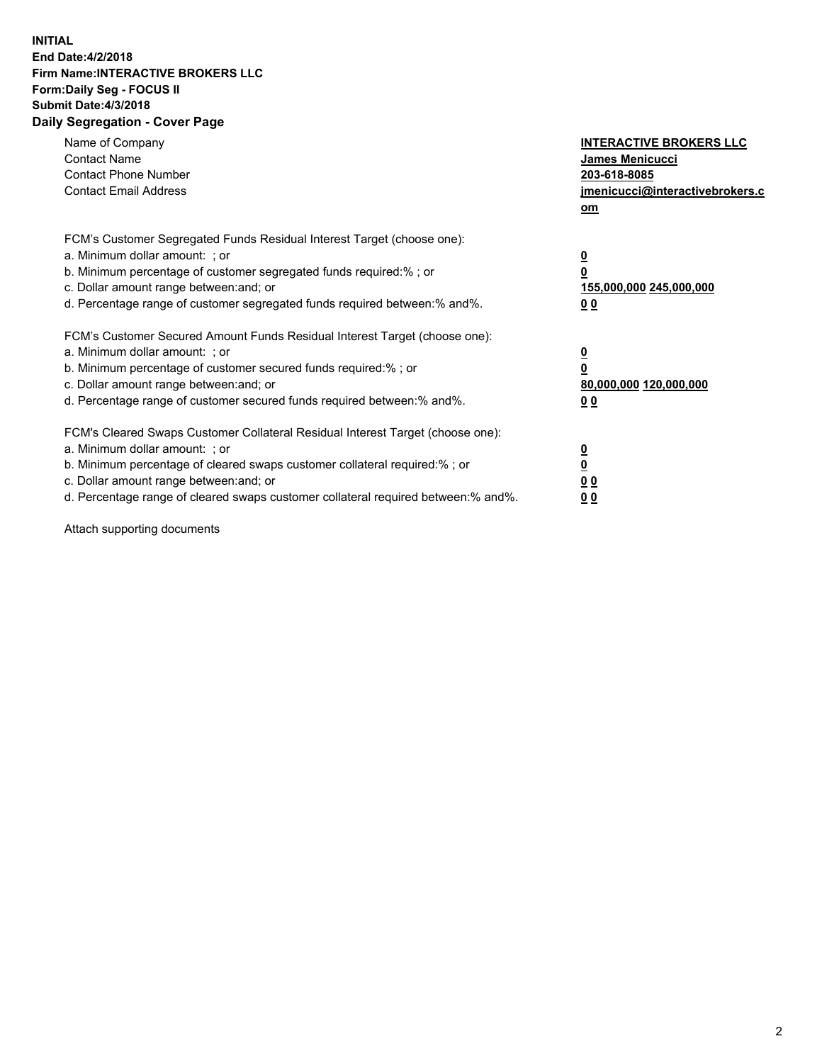## **INITIAL End Date:4/2/2018 Firm Name:INTERACTIVE BROKERS LLC Form:Daily Seg - FOCUS II Submit Date:4/3/2018 Daily Segregation - Cover Page**

| Name of Company<br><b>Contact Name</b><br><b>Contact Phone Number</b><br><b>Contact Email Address</b>                                                                                                                                                                                                                          | <b>INTERACTIVE BROKERS LLC</b><br>James Menicucci<br>203-618-8085<br>jmenicucci@interactivebrokers.c<br>om |
|--------------------------------------------------------------------------------------------------------------------------------------------------------------------------------------------------------------------------------------------------------------------------------------------------------------------------------|------------------------------------------------------------------------------------------------------------|
| FCM's Customer Segregated Funds Residual Interest Target (choose one):<br>a. Minimum dollar amount: ; or<br>b. Minimum percentage of customer segregated funds required:%; or<br>c. Dollar amount range between: and; or<br>d. Percentage range of customer segregated funds required between:% and%.                          | $\overline{\mathbf{0}}$<br>$\overline{\mathbf{0}}$<br>155,000,000 245,000,000<br>00                        |
| FCM's Customer Secured Amount Funds Residual Interest Target (choose one):<br>a. Minimum dollar amount: ; or<br>b. Minimum percentage of customer secured funds required:%; or<br>c. Dollar amount range between: and; or<br>d. Percentage range of customer secured funds required between: % and %.                          | $\overline{\mathbf{0}}$<br>0<br>80,000,000 120,000,000<br>00                                               |
| FCM's Cleared Swaps Customer Collateral Residual Interest Target (choose one):<br>a. Minimum dollar amount: ; or<br>b. Minimum percentage of cleared swaps customer collateral required:% ; or<br>c. Dollar amount range between: and; or<br>d. Percentage range of cleared swaps customer collateral required between:% and%. | $\overline{\mathbf{0}}$<br>$\underline{\mathbf{0}}$<br>0 <sub>0</sub><br>0 <sub>0</sub>                    |

Attach supporting documents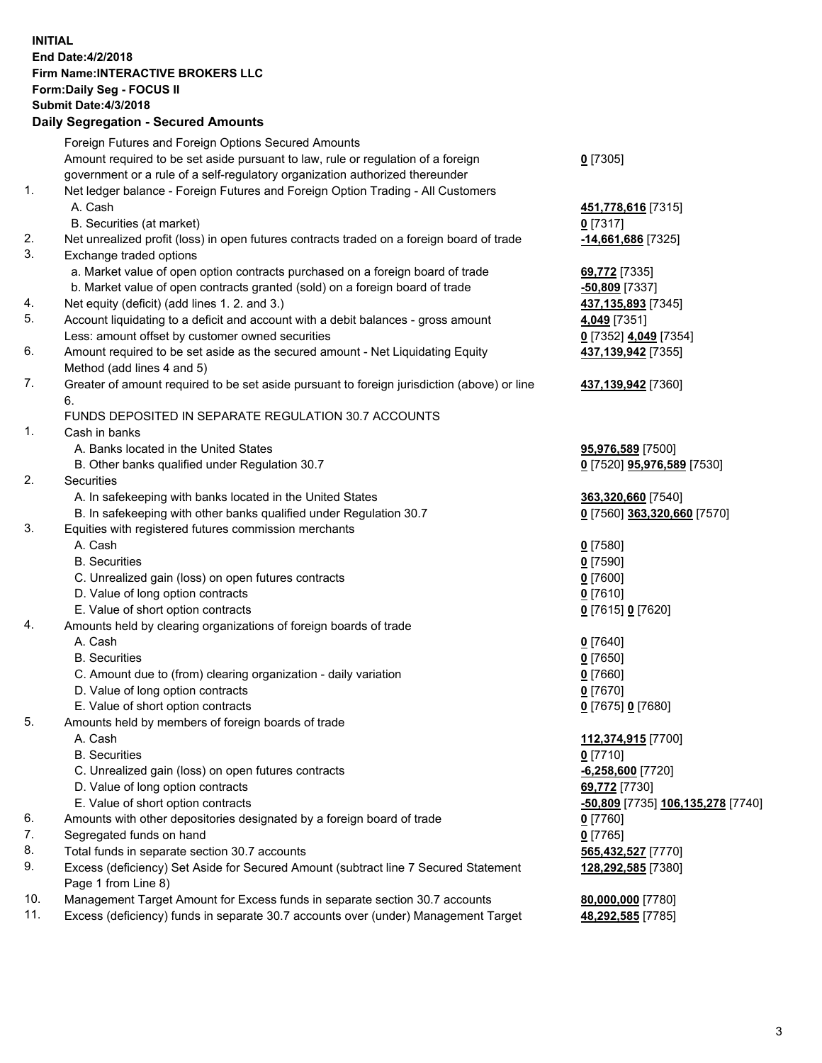## **INITIAL End Date:4/2/2018 Firm Name:INTERACTIVE BROKERS LLC Form:Daily Seg - FOCUS II Submit Date:4/3/2018 Daily Segregation - Secured Amounts**

|                | Daily Ocglegation - Occuled Amounts                                                                        |                                   |
|----------------|------------------------------------------------------------------------------------------------------------|-----------------------------------|
|                | Foreign Futures and Foreign Options Secured Amounts                                                        |                                   |
|                | Amount required to be set aside pursuant to law, rule or regulation of a foreign                           | $0$ [7305]                        |
|                | government or a rule of a self-regulatory organization authorized thereunder                               |                                   |
| 1.             | Net ledger balance - Foreign Futures and Foreign Option Trading - All Customers                            |                                   |
|                | A. Cash                                                                                                    | 451,778,616 [7315]                |
|                | B. Securities (at market)                                                                                  | $0$ [7317]                        |
| 2.             | Net unrealized profit (loss) in open futures contracts traded on a foreign board of trade                  | -14,661,686 [7325]                |
| 3.             | Exchange traded options                                                                                    |                                   |
|                | a. Market value of open option contracts purchased on a foreign board of trade                             | 69,772 [7335]                     |
|                | b. Market value of open contracts granted (sold) on a foreign board of trade                               | $-50,809$ [7337]                  |
| 4.             | Net equity (deficit) (add lines 1.2. and 3.)                                                               | 437,135,893 [7345]                |
| 5.             | Account liquidating to a deficit and account with a debit balances - gross amount                          | 4,049 [7351]                      |
|                | Less: amount offset by customer owned securities                                                           | 0 [7352] 4,049 [7354]             |
| 6.             | Amount required to be set aside as the secured amount - Net Liquidating Equity                             | 437,139,942 [7355]                |
|                | Method (add lines 4 and 5)                                                                                 |                                   |
| 7.             | Greater of amount required to be set aside pursuant to foreign jurisdiction (above) or line                | 437,139,942 [7360]                |
|                | 6.                                                                                                         |                                   |
|                | FUNDS DEPOSITED IN SEPARATE REGULATION 30.7 ACCOUNTS                                                       |                                   |
| $\mathbf{1}$ . | Cash in banks                                                                                              |                                   |
|                | A. Banks located in the United States                                                                      | 95,976,589 [7500]                 |
|                | B. Other banks qualified under Regulation 30.7                                                             | 0 [7520] 95,976,589 [7530]        |
| 2.             | Securities                                                                                                 |                                   |
|                | A. In safekeeping with banks located in the United States                                                  | 363,320,660 [7540]                |
|                | B. In safekeeping with other banks qualified under Regulation 30.7                                         | 0 [7560] 363,320,660 [7570]       |
| 3.             | Equities with registered futures commission merchants                                                      |                                   |
|                | A. Cash                                                                                                    | $0$ [7580]                        |
|                | <b>B.</b> Securities                                                                                       | $0$ [7590]                        |
|                | C. Unrealized gain (loss) on open futures contracts                                                        | $0$ [7600]                        |
|                | D. Value of long option contracts                                                                          | $0$ [7610]                        |
|                | E. Value of short option contracts                                                                         | 0 [7615] 0 [7620]                 |
| 4.             | Amounts held by clearing organizations of foreign boards of trade                                          |                                   |
|                | A. Cash                                                                                                    | $0$ [7640]                        |
|                | <b>B.</b> Securities                                                                                       | $0$ [7650]                        |
|                | C. Amount due to (from) clearing organization - daily variation                                            | $0$ [7660]                        |
|                | D. Value of long option contracts                                                                          | $0$ [7670]                        |
|                | E. Value of short option contracts                                                                         | 0 [7675] 0 [7680]                 |
| 5.             | Amounts held by members of foreign boards of trade                                                         |                                   |
|                | A. Cash                                                                                                    | 112,374,915 [7700]                |
|                | <b>B.</b> Securities                                                                                       | $0$ [7710]                        |
|                | C. Unrealized gain (loss) on open futures contracts                                                        | $-6,258,600$ [7720]               |
|                | D. Value of long option contracts                                                                          | 69,772 [7730]                     |
|                | E. Value of short option contracts                                                                         | -50,809 [7735] 106,135,278 [7740] |
| 6.             | Amounts with other depositories designated by a foreign board of trade                                     | 0 [7760]                          |
| 7.             | Segregated funds on hand                                                                                   | $0$ [7765]                        |
| 8.             | Total funds in separate section 30.7 accounts                                                              | 565,432,527 [7770]                |
| 9.             | Excess (deficiency) Set Aside for Secured Amount (subtract line 7 Secured Statement<br>Page 1 from Line 8) | 128,292,585 [7380]                |
| 10.            | Management Target Amount for Excess funds in separate section 30.7 accounts                                | 80,000,000 [7780]                 |
| 11.            | Excess (deficiency) funds in separate 30.7 accounts over (under) Management Target                         | 48,292,585 [7785]                 |
|                |                                                                                                            |                                   |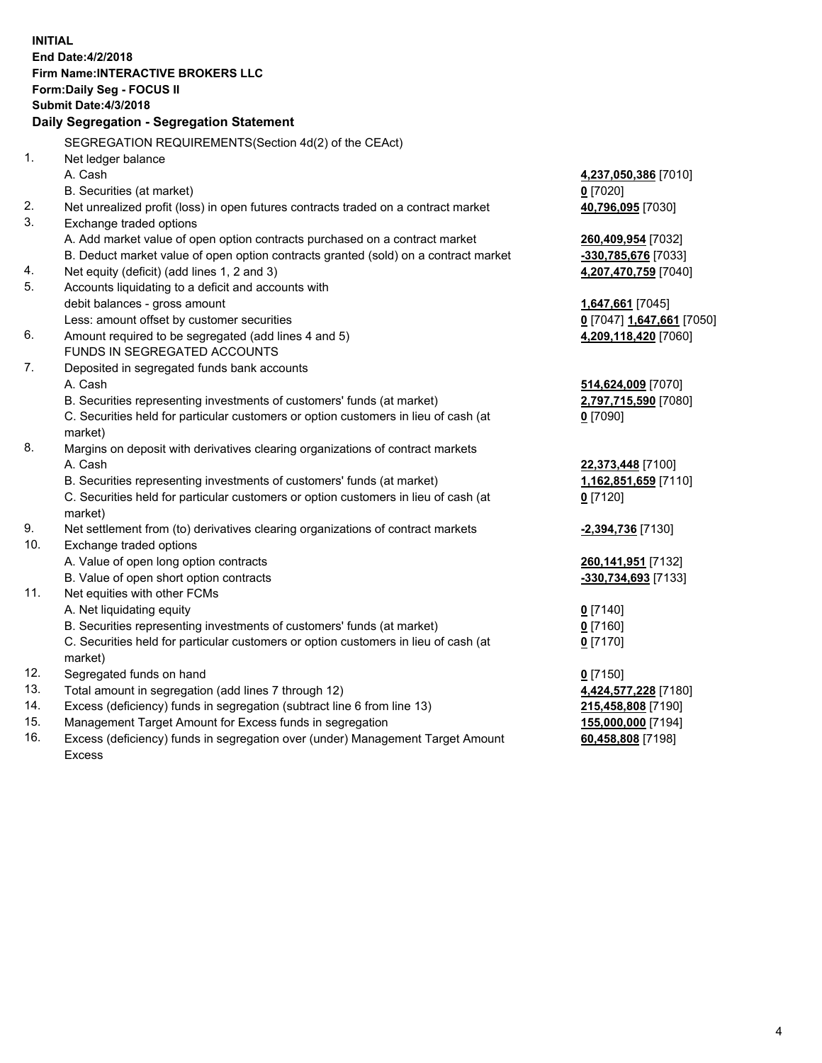**INITIAL End Date:4/2/2018 Firm Name:INTERACTIVE BROKERS LLC Form:Daily Seg - FOCUS II Submit Date:4/3/2018 Daily Segregation - Segregation Statement** SEGREGATION REQUIREMENTS(Section 4d(2) of the CEAct) 1. Net ledger balance A. Cash **4,237,050,386** [7010] B. Securities (at market) **0** [7020] 2. Net unrealized profit (loss) in open futures contracts traded on a contract market **40,796,095** [7030] 3. Exchange traded options A. Add market value of open option contracts purchased on a contract market **260,409,954** [7032] B. Deduct market value of open option contracts granted (sold) on a contract market **-330,785,676** [7033] 4. Net equity (deficit) (add lines 1, 2 and 3) **4,207,470,759** [7040] 5. Accounts liquidating to a deficit and accounts with debit balances - gross amount **1,647,661** [7045] Less: amount offset by customer securities **0** [7047] **1,647,661** [7050] 6. Amount required to be segregated (add lines 4 and 5) **4,209,118,420** [7060] FUNDS IN SEGREGATED ACCOUNTS 7. Deposited in segregated funds bank accounts A. Cash **514,624,009** [7070] B. Securities representing investments of customers' funds (at market) **2,797,715,590** [7080] C. Securities held for particular customers or option customers in lieu of cash (at market) **0** [7090] 8. Margins on deposit with derivatives clearing organizations of contract markets A. Cash **22,373,448** [7100] B. Securities representing investments of customers' funds (at market) **1,162,851,659** [7110] C. Securities held for particular customers or option customers in lieu of cash (at market) **0** [7120] 9. Net settlement from (to) derivatives clearing organizations of contract markets **-2,394,736** [7130] 10. Exchange traded options A. Value of open long option contracts **260,141,951** [7132] B. Value of open short option contracts **-330,734,693** [7133] 11. Net equities with other FCMs A. Net liquidating equity **0** [7140] B. Securities representing investments of customers' funds (at market) **0** [7160] C. Securities held for particular customers or option customers in lieu of cash (at market) **0** [7170] 12. Segregated funds on hand **0** [7150] 13. Total amount in segregation (add lines 7 through 12) **4,424,577,228** [7180] 14. Excess (deficiency) funds in segregation (subtract line 6 from line 13) **215,458,808** [7190] 15. Management Target Amount for Excess funds in segregation **155,000,000** [7194] **60,458,808** [7198]

16. Excess (deficiency) funds in segregation over (under) Management Target Amount Excess